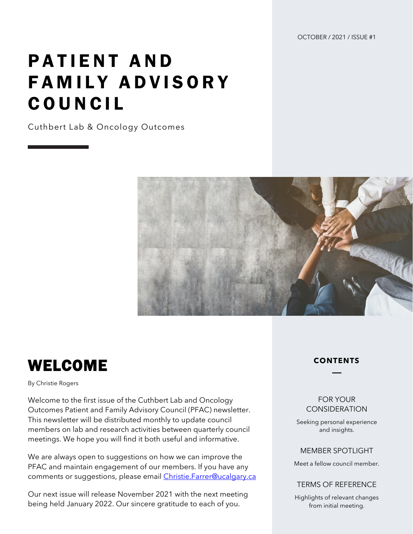OCTOBER / 2021 / ISSUE #1

# PATIENT AND FAMILY ADVISORY COUNCIL

Cuthbert Lab & Oncology Outcomes



## WELCOME

By Christie Rogers

Welcome to the first issue of the Cuthbert Lab and Oncology Outcomes Patient and Family Advisory Council (PFAC) newsletter. This newsletter will be distributed monthly to update council members on lab and research activities between quarterly council meetings. We hope you will find it both useful and informative.

We are always open to suggestions on how we can improve the PFAC and maintain engagement of our members. If you have any comments or suggestions, please email [Christie.Farrer@ucalgary.ca](mailto:Christie.Farrer@ucalgary.ca)

Our next issue will release November 2021 with the next meeting being held January 2022. Our sincere gratitude to each of you.

#### **CONTENTS**

#### FOR YOUR **CONSIDERATION**

Seeking personal experience and insights.

#### MEMBER SPOTLIGHT

Meet a fellow council member.

#### TERMS OF REFERENCE

Highlights of relevant changes from initial meeting.